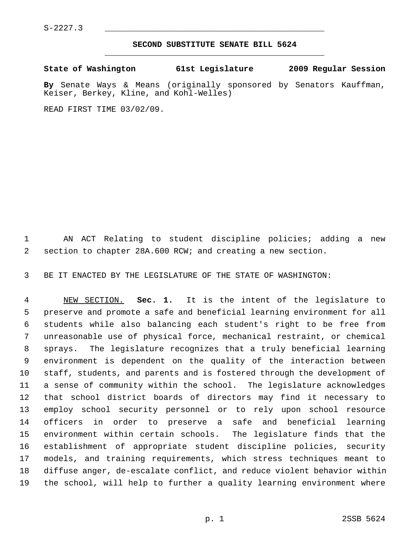$S-2227.3$ 

## **SECOND SUBSTITUTE SENATE BILL 5624** \_\_\_\_\_\_\_\_\_\_\_\_\_\_\_\_\_\_\_\_\_\_\_\_\_\_\_\_\_\_\_\_\_\_\_\_\_\_\_\_\_\_\_\_\_

**State of Washington 61st Legislature 2009 Regular Session**

**By** Senate Ways & Means (originally sponsored by Senators Kauffman, Keiser, Berkey, Kline, and Kohl-Welles)

READ FIRST TIME 03/02/09.

 1 AN ACT Relating to student discipline policies; adding a new 2 section to chapter 28A.600 RCW; and creating a new section.

3 BE IT ENACTED BY THE LEGISLATURE OF THE STATE OF WASHINGTON:

 4 NEW SECTION. **Sec. 1.** It is the intent of the legislature to 5 preserve and promote a safe and beneficial learning environment for all 6 students while also balancing each student's right to be free from 7 unreasonable use of physical force, mechanical restraint, or chemical 8 sprays. The legislature recognizes that a truly beneficial learning 9 environment is dependent on the quality of the interaction between 10 staff, students, and parents and is fostered through the development of 11 a sense of community within the school. The legislature acknowledges 12 that school district boards of directors may find it necessary to 13 employ school security personnel or to rely upon school resource 14 officers in order to preserve a safe and beneficial learning 15 environment within certain schools. The legislature finds that the 16 establishment of appropriate student discipline policies, security 17 models, and training requirements, which stress techniques meant to 18 diffuse anger, de-escalate conflict, and reduce violent behavior within 19 the school, will help to further a quality learning environment where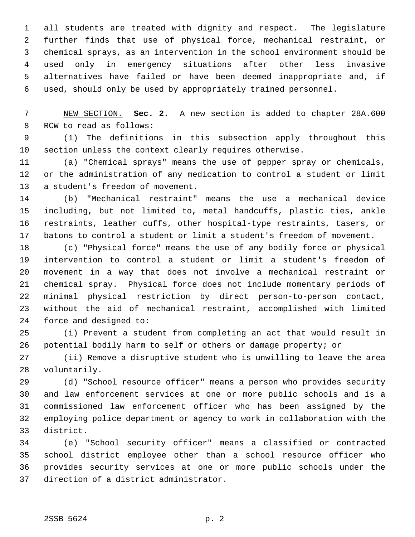1 all students are treated with dignity and respect. The legislature 2 further finds that use of physical force, mechanical restraint, or 3 chemical sprays, as an intervention in the school environment should be 4 used only in emergency situations after other less invasive 5 alternatives have failed or have been deemed inappropriate and, if 6 used, should only be used by appropriately trained personnel.

 7 NEW SECTION. **Sec. 2.** A new section is added to chapter 28A.600 8 RCW to read as follows:

 9 (1) The definitions in this subsection apply throughout this 10 section unless the context clearly requires otherwise.

11 (a) "Chemical sprays" means the use of pepper spray or chemicals, 12 or the administration of any medication to control a student or limit 13 a student's freedom of movement.

14 (b) "Mechanical restraint" means the use a mechanical device 15 including, but not limited to, metal handcuffs, plastic ties, ankle 16 restraints, leather cuffs, other hospital-type restraints, tasers, or 17 batons to control a student or limit a student's freedom of movement.

18 (c) "Physical force" means the use of any bodily force or physical 19 intervention to control a student or limit a student's freedom of 20 movement in a way that does not involve a mechanical restraint or 21 chemical spray. Physical force does not include momentary periods of 22 minimal physical restriction by direct person-to-person contact, 23 without the aid of mechanical restraint, accomplished with limited 24 force and designed to:

25 (i) Prevent a student from completing an act that would result in 26 potential bodily harm to self or others or damage property; or

27 (ii) Remove a disruptive student who is unwilling to leave the area 28 voluntarily.

29 (d) "School resource officer" means a person who provides security 30 and law enforcement services at one or more public schools and is a 31 commissioned law enforcement officer who has been assigned by the 32 employing police department or agency to work in collaboration with the 33 district.

34 (e) "School security officer" means a classified or contracted 35 school district employee other than a school resource officer who 36 provides security services at one or more public schools under the 37 direction of a district administrator.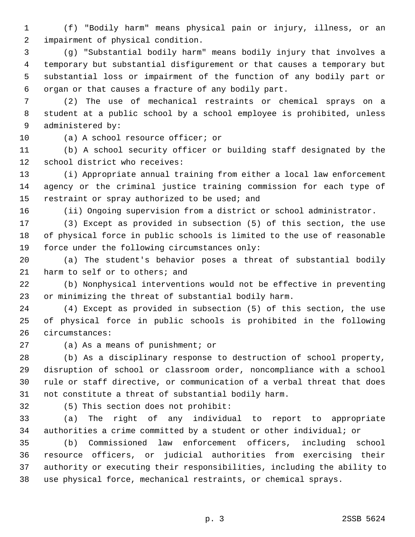1 (f) "Bodily harm" means physical pain or injury, illness, or an 2 impairment of physical condition.

 3 (g) "Substantial bodily harm" means bodily injury that involves a 4 temporary but substantial disfigurement or that causes a temporary but 5 substantial loss or impairment of the function of any bodily part or 6 organ or that causes a fracture of any bodily part.

 7 (2) The use of mechanical restraints or chemical sprays on a 8 student at a public school by a school employee is prohibited, unless 9 administered by:

10 (a) A school resource officer; or

11 (b) A school security officer or building staff designated by the 12 school district who receives:

13 (i) Appropriate annual training from either a local law enforcement 14 agency or the criminal justice training commission for each type of 15 restraint or spray authorized to be used; and

16 (ii) Ongoing supervision from a district or school administrator.

17 (3) Except as provided in subsection (5) of this section, the use 18 of physical force in public schools is limited to the use of reasonable 19 force under the following circumstances only:

20 (a) The student's behavior poses a threat of substantial bodily 21 harm to self or to others; and

22 (b) Nonphysical interventions would not be effective in preventing 23 or minimizing the threat of substantial bodily harm.

24 (4) Except as provided in subsection (5) of this section, the use 25 of physical force in public schools is prohibited in the following 26 circumstances:

27 (a) As a means of punishment; or

28 (b) As a disciplinary response to destruction of school property, 29 disruption of school or classroom order, noncompliance with a school 30 rule or staff directive, or communication of a verbal threat that does 31 not constitute a threat of substantial bodily harm.

32 (5) This section does not prohibit:

33 (a) The right of any individual to report to appropriate 34 authorities a crime committed by a student or other individual; or

35 (b) Commissioned law enforcement officers, including school 36 resource officers, or judicial authorities from exercising their 37 authority or executing their responsibilities, including the ability to 38 use physical force, mechanical restraints, or chemical sprays.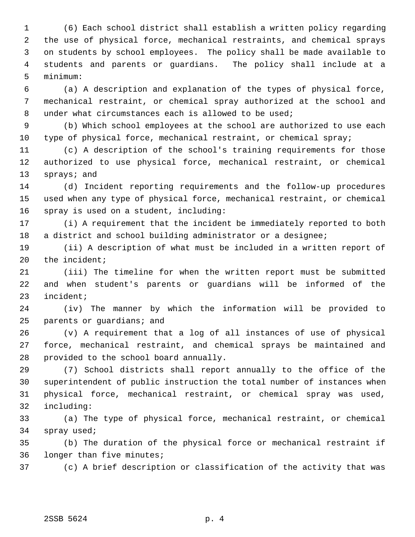1 (6) Each school district shall establish a written policy regarding 2 the use of physical force, mechanical restraints, and chemical sprays 3 on students by school employees. The policy shall be made available to 4 students and parents or guardians. The policy shall include at a 5 minimum:

 6 (a) A description and explanation of the types of physical force, 7 mechanical restraint, or chemical spray authorized at the school and 8 under what circumstances each is allowed to be used;

 9 (b) Which school employees at the school are authorized to use each 10 type of physical force, mechanical restraint, or chemical spray;

11 (c) A description of the school's training requirements for those 12 authorized to use physical force, mechanical restraint, or chemical 13 sprays; and

14 (d) Incident reporting requirements and the follow-up procedures 15 used when any type of physical force, mechanical restraint, or chemical 16 spray is used on a student, including:

17 (i) A requirement that the incident be immediately reported to both 18 a district and school building administrator or a designee;

19 (ii) A description of what must be included in a written report of 20 the incident;

21 (iii) The timeline for when the written report must be submitted 22 and when student's parents or guardians will be informed of the 23 incident;

24 (iv) The manner by which the information will be provided to 25 parents or guardians; and

26 (v) A requirement that a log of all instances of use of physical 27 force, mechanical restraint, and chemical sprays be maintained and 28 provided to the school board annually.

29 (7) School districts shall report annually to the office of the 30 superintendent of public instruction the total number of instances when 31 physical force, mechanical restraint, or chemical spray was used, 32 including:

33 (a) The type of physical force, mechanical restraint, or chemical 34 spray used;

35 (b) The duration of the physical force or mechanical restraint if 36 longer than five minutes;

37 (c) A brief description or classification of the activity that was